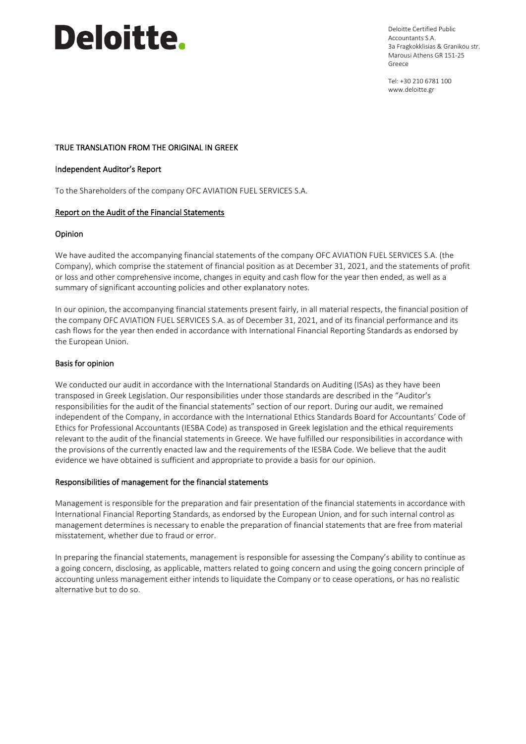# **Deloitte.**

Deloitte Certified Public Accountants S.A. 3a Fragkokklisias & Granikou str. Marousi Athens GR 151-25 Greece

Tel: +30 210 6781 100 www.deloitte.gr

# TRUE TRANSLATION FROM THE ORIGINAL IN GREEK

#### Independent Auditor's Report

To the Shareholders of the company OFC AVIATION FUEL SERVICES S.A.

# Report on the Audit of the Financial Statements

# Opinion

We have audited the accompanying financial statements of the company OFC AVIATION FUEL SERVICES S.A. (the Company), which comprise the statement of financial position as at December 31, 2021, and the statements of profit or loss and other comprehensive income, changes in equity and cash flow for the year then ended, as well as a summary of significant accounting policies and other explanatory notes.

In our opinion, the accompanying financial statements present fairly, in all material respects, the financial position of the company OFC AVIATION FUEL SERVICES S.A. as of December 31, 2021, and of its financial performance and its cash flows for the year then ended in accordance with International Financial Reporting Standards as endorsed by the European Union.

# Basis for opinion

We conducted our audit in accordance with the International Standards on Auditing (ISAs) as they have been transposed in Greek Legislation. Our responsibilities under those standards are described in the "Auditor's responsibilities for the audit of the financial statements" section of our report. During our audit, we remained independent of the Company, in accordance with the International Ethics Standards Board for Accountants' Code of Ethics for Professional Accountants (IESBA Code) as transposed in Greek legislation and the ethical requirements relevant to the audit of the financial statements in Greece. We have fulfilled our responsibilities in accordance with the provisions of the currently enacted law and the requirements of the IESBA Code. We believe that the audit evidence we have obtained is sufficient and appropriate to provide a basis for our opinion.

#### Responsibilities of management for the financial statements

Management is responsible for the preparation and fair presentation of the financial statements in accordance with International Financial Reporting Standards, as endorsed by the European Union, and for such internal control as management determines is necessary to enable the preparation of financial statements that are free from material misstatement, whether due to fraud or error.

In preparing the financial statements, management is responsible for assessing the Company's ability to continue as a going concern, disclosing, as applicable, matters related to going concern and using the going concern principle of accounting unless management either intends to liquidate the Company or to cease operations, or has no realistic alternative but to do so.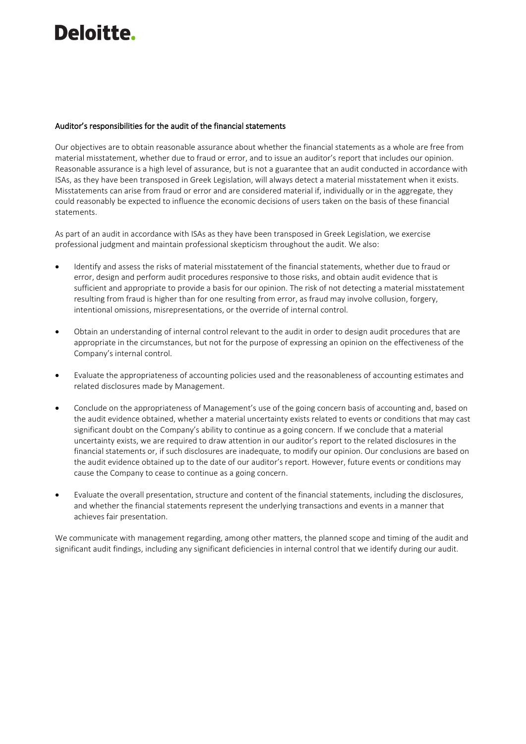# Deloitte.

### Auditor's responsibilities for the audit of the financial statements

Our objectives are to obtain reasonable assurance about whether the financial statements as a whole are free from material misstatement, whether due to fraud or error, and to issue an auditor's report that includes our opinion. Reasonable assurance is a high level of assurance, but is not a guarantee that an audit conducted in accordance with ISAs, as they have been transposed in Greek Legislation, will always detect a material misstatement when it exists. Misstatements can arise from fraud or error and are considered material if, individually or in the aggregate, they could reasonably be expected to influence the economic decisions of users taken on the basis of these financial statements.

As part of an audit in accordance with ISAs as they have been transposed in Greek Legislation, we exercise professional judgment and maintain professional skepticism throughout the audit. We also:

- Identify and assess the risks of material misstatement of the financial statements, whether due to fraud or error, design and perform audit procedures responsive to those risks, and obtain audit evidence that is sufficient and appropriate to provide a basis for our opinion. The risk of not detecting a material misstatement resulting from fraud is higher than for one resulting from error, as fraud may involve collusion, forgery, intentional omissions, misrepresentations, or the override of internal control.
- Obtain an understanding of internal control relevant to the audit in order to design audit procedures that are appropriate in the circumstances, but not for the purpose of expressing an opinion on the effectiveness of the Company's internal control.
- Evaluate the appropriateness of accounting policies used and the reasonableness of accounting estimates and related disclosures made by Management.
- Conclude on the appropriateness of Management's use of the going concern basis of accounting and, based on the audit evidence obtained, whether a material uncertainty exists related to events or conditions that may cast significant doubt on the Company's ability to continue as a going concern. If we conclude that a material uncertainty exists, we are required to draw attention in our auditor's report to the related disclosures in the financial statements or, if such disclosures are inadequate, to modify our opinion. Our conclusions are based on the audit evidence obtained up to the date of our auditor's report. However, future events or conditions may cause the Company to cease to continue as a going concern.
- Evaluate the overall presentation, structure and content of the financial statements, including the disclosures, and whether the financial statements represent the underlying transactions and events in a manner that achieves fair presentation.

We communicate with management regarding, among other matters, the planned scope and timing of the audit and significant audit findings, including any significant deficiencies in internal control that we identify during our audit.